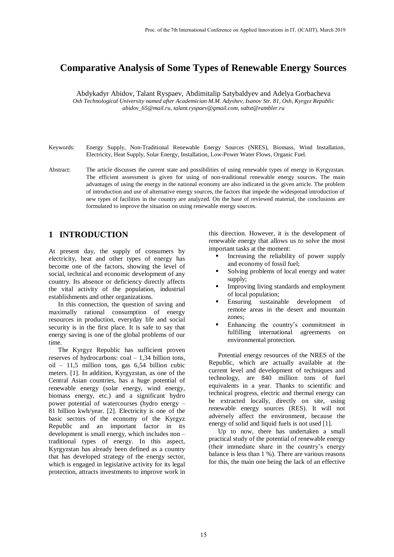# **Comparative Analysis of Some Types of Renewable Energy Sources**

Abdykadyr Abidov, Talant Ryspaev, Abdimitalip Satybaldyev and Adelya Gorbacheva *Osh Technological University named after Academician M.M. Adyshev, Isanov Str. 81, Osh, Kyrgyz Republic abidov\_65@mail.ru, talant.ryspaev@gmail.com, sabst@rambler.ru*

- Keywords: Energy Supply, Non-Traditional Renewable Energy Sources (NRES), Biomass, Wind Installation, Electricity, Heat Supply, Solar Energy, Installation, Low-Power Water Flows, Organic Fuel.
- Abstract: The article discusses the current state and possibilities of using renewable types of energy in Kyrgyzstan. The efficient assessment is given for using of non-traditional renewable energy sources. The main advantages of using the energy in the national economy are also indicated in the given article. The problem of introduction and use of alternative energy sources, the factors that impede the widespread introduction of new types of facilities in the country are analyzed. On the base of reviewed material, the conclusions are formulated to improve the situation on using renewable energy sources.

# **1 INTRODUCTION**

At present day, the supply of consumers by electricity, heat and other types of energy has become one of the factors, showing the level of social, technical and economic development of any country. Its absence or deficiency directly affects the vital activity of the population, industrial establishments and other organizations.

In this connection, the question of saving and maximally rational consumption of energy resources in production, everyday life and social security is in the first place. It is safe to say that energy saving is one of the global problems of our time.

The Kyrgyz Republic has sufficient proven reserves of hydrocarbons: coal – 1,34 billion tons, oil – 11,5 million tons, gas 6,54 billion cubic meters. [1]. In addition, Kyrgyzstan, as one of the Central Asian countries, has a huge potential of renewable energy (solar energy, wind energy, biomass energy, etc.) and a significant hydro power potential of watercourses (hydro energy – 81 billion kwh/year. [2]. Electricity is one of the basic sectors of the economy of the Kyrgyz Republic and an important factor in its development is small energy, which includes non – traditional types of energy. In this aspect, Kyrgyzstan has already been defined as a country that has developed strategy of the energy sector, which is engaged in legislative activity for its legal protection, attracts investments to improve work in

this direction. However, it is the development of renewable energy that allows us to solve the most important tasks at the moment:

- Increasing the reliability of power supply and economy of fossil fuel;
- Solving problems of local energy and water supply;
- Improving living standards and employment of local population;
- Ensuring sustainable development of remote areas in the desert and mountain zones;
- Enhancing the country's commitment in fulfilling international agreements on environmental protection.

Potential energy resources of the NRES of the Republic, which are actually available at the current level and development of techniques and technology, are 840 million tons of fuel equivalents in a year. Thanks to scientific and technical progress, electric and thermal energy can be extracted locally, directly on site, using renewable energy sources (RES). It will not adversely affect the environment, because the energy of solid and liquid fuels is not used [1].

Up to now, there has undertaken a small practical study of the potential of renewable energy (their immediate share in the country's energy balance is less than 1 %). There are various reasons for this, the main one being the lack of an effective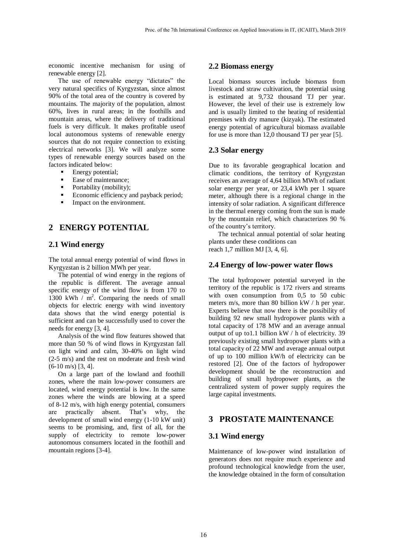economic incentive mechanism for using of renewable energy [2].

The use of renewable energy "dictates" the very natural specifics of Kyrgyzstan, since almost 90% of the total area of the country is covered by mountains. The majority of the population, almost 60%, lives in rural areas; in the foothills and mountain areas, where the delivery of traditional fuels is very difficult. It makes profitable useof local autonomous systems of renewable energy sources that do not require connection to existing electrical networks [3]. We will analyze some types of renewable energy sources based on the factors indicated below:

- **Energy potential;**
- Ease of maintenance;
- Portability (mobility);
- Economic efficiency and payback period;
- Impact on the environment.

# **2 ENERGY POTENTIAL**

#### **2.1 Wind energy**

The total annual energy potential of wind flows in Kyrgyzstan is 2 billion MWh per year.

The potential of wind energy in the regions of the republic is different. The average annual specific energy of the wind flow is from 170 to 1300 kWh  $/m^2$ . Comparing the needs of small objects for electric energy with wind inventory data shows that the wind energy potential is sufficient and can be successfully used to cover the needs for energy [3, 4].

Analysis of the wind flow features showed that more than 50 % of wind flows in Kyrgyzstan fall on light wind and calm, 30-40% on light wind (2-5 m/s) and the rest on moderate and fresh wind (6-10 m/s) [3, 4].

On a large part of the lowland and foothill zones, where the main low-power consumers are located, wind energy potential is low. In the same zones where the winds are blowing at a speed of 8-12 m/s, with high energy potential, consumers are practically absent. That's why, the development of small wind energy (1-10 kW unit) seems to be promising, and, first of all, for the supply of electricity to remote low-power autonomous consumers located in the foothill and mountain regions [3-4].

#### **2.2 Biomass energy**

Local biomass sources include biomass from livestock and straw cultivation, the potential using is estimated at 9,732 thousand TJ per year. However, the level of their use is extremely low and is usually limited to the heating of residential premises with dry manure (kizyak). The estimated energy potential of agricultural biomass available for use is more than 12,0 thousand TJ per year [5].

#### **2.3 Solar energy**

Due to its favorable geographical location and climatic conditions, the territory of Kyrgyzstan receives an average of 4,64 billion MWh of radiant solar energy per year, or 23,4 kWh per 1 square meter, although there is a regional change in the intensity of solar radiation. A significant difference in the thermal energy coming from the sun is made by the mountain relief, which characterizes 90 % of the country's territory.

The technical annual potential of solar heating plants under these conditions can reach 1,7 million MJ [3, 4, 6].

### **2.4 Energy of low-power water flows**

The total hydropower potential surveyed in the territory of the republic is 172 rivers and streams with oxen consumption from 0.5 to 50 cubic meters m/s, more than 80 billion kW / h per year. Experts believe that now there is the possibility of building 92 new small hydropower plants with a total capacity of 178 MW and an average annual output of up to1.1 billion kW / h of electricity. 39 previously existing small hydropower plants with a total capacity of 22 MW and average annual output of up to 100 million kW/h of electricity can be restored [2]. One of the factors of hydropower development should be the reconstruction and building of small hydropower plants, as the centralized system of power supply requires the large capital investments.

## **3 PROSTATE MAINTENANCE**

#### **3.1 Wind energy**

Maintenance of low-power wind installation of generators does not require much experience and profound technological knowledge from the user, the knowledge obtained in the form of consultation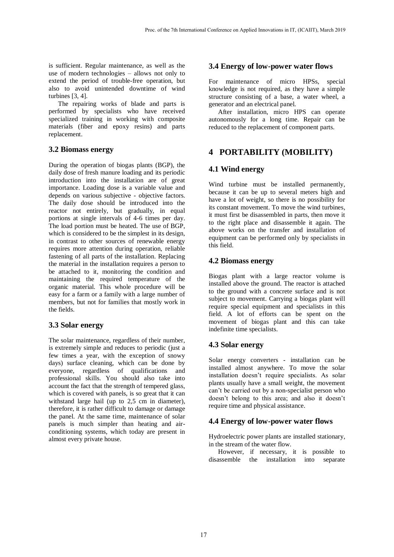is sufficient. Regular maintenance, as well as the use of modern technologies – allows not only to extend the period of trouble-free operation, but also to avoid unintended downtime of wind turbines [3, 4].

The repairing works of blade and parts is performed by specialists who have received specialized training in working with composite materials (fiber and epoxy resins) and parts replacement.

### **3.2 Biomass energy**

During the operation of biogas plants (BGP), the daily dose of fresh manure loading and its periodic introduction into the installation are of great importance. Loading dose is a variable value and depends on various subjective - objective factors. The daily dose should be introduced into the reactor not entirely, but gradually, in equal portions at single intervals of 4-6 times per day. The load portion must be heated. The use of BGP, which is considered to be the simplest in its design, in contrast to other sources of renewable energy requires more attention during operation, reliable fastening of all parts of the installation. Replacing the material in the installation requires a person to be attached to it, monitoring the condition and maintaining the required temperature of the organic material. This whole procedure will be easy for a farm or a family with a large number of members, but not for families that mostly work in the fields.

## **3.3 Solar energy**

The solar maintenance, regardless of their number, is extremely simple and reduces to periodic (just a few times a year, with the exception of snowy days) surface cleaning, which can be done by everyone, regardless of qualifications and professional skills. You should also take into account the fact that the strength of tempered glass, which is covered with panels, is so great that it can withstand large hail (up to 2,5 cm in diameter), therefore, it is rather difficult to damage or damage the panel. At the same time, maintenance of solar panels is much simpler than heating and airconditioning systems, which today are present in almost every private house.

### **3.4 Energy of low-power water flows**

For maintenance of micro HPSs, special knowledge is not required, as they have a simple structure consisting of a base, a water wheel, a generator and an electrical panel.

After installation, micro HPS can operate autonomously for a long time. Repair can be reduced to the replacement of component parts.

# **4 PORTABILITY (MOBILITY)**

## **4.1 Wind energy**

Wind turbine must be installed permanently, because it can be up to several meters high and have a lot of weight, so there is no possibility for its constant movement. To move the wind turbines, it must first be disassembled in parts, then move it to the right place and disassemble it again. The above works on the transfer and installation of equipment can be performed only by specialists in this field.

### **4.2 Biomass energy**

Biogas plant with a large reactor volume is installed above the ground. The reactor is attached to the ground with a concrete surface and is not subject to movement. Carrying a biogas plant will require special equipment and specialists in this field. A lot of efforts can be spent on the movement of biogas plant and this can take indefinite time specialists.

### **4.3 Solar energy**

Solar energy converters - installation can be installed almost anywhere. To move the solar installation doesn't require specialists. As solar plants usually have a small weight, the movement can't be carried out by a non-specialist person who doesn't belong to this area; and also it doesn't require time and physical assistance.

## **4.4 Energy of low-power water flows**

Hydroelectric power plants are installed stationary, in the stream of the water flow.

However, if necessary, it is possible to disassemble the installation into separate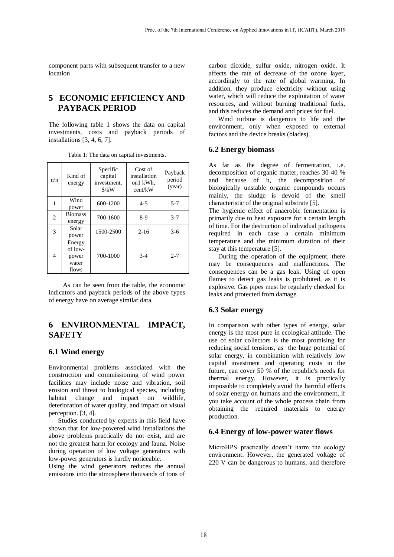component parts with subsequent transfer to a new location

# **5 ECONOMIC EFFICIENCY AND PAYBACK PERIOD**

The following table 1 shows the data on capital investments, costs and payback periods of installations [3, 4, 6, 7].

| n/n | Kind of<br>energy                            | Specific<br>capital<br>investment,<br>$\frac{\text{S}}{\text{K}}$ | Cost of<br>installation<br>on1 kWh,<br>cent/kW | Payback<br>period<br>(year) |
|-----|----------------------------------------------|-------------------------------------------------------------------|------------------------------------------------|-----------------------------|
| 1   | Wind<br>power                                | 600-1200                                                          | $4 - 5$                                        | $5 - 7$                     |
| 2   | <b>Biomass</b><br>energy                     | 700-1600                                                          | $8-9$                                          | $3 - 7$                     |
| 3   | Solar<br>power                               | 1500-2500                                                         | $2 - 16$                                       | $3-6$                       |
| 4   | Energy<br>of low-<br>power<br>water<br>flows | 700-1000                                                          | $3-4$                                          | $2 - 7$                     |

Table 1: The data on capital investments.

As can be seen from the table, the economic indicators and payback periods of the above types of energy have on average similar data.

# **6 ENVIRONMENTAL IMPACT, SAFETY**

#### **6.1 Wind energy**

Environmental problems associated with the construction and commissioning of wind power facilities may include noise and vibration, soil erosion and threat to biological species, including habitat change and impact on wildlife, deterioration of water quality, and impact on visual perception. [3, 4].

Studies conducted by experts in this field have shown that for low-powered wind installations the above problems practically do not exist, and are not the greatest harm for ecology and fauna. Noise during operation of low voltage generators with low-power generators is hardly noticeable.

Using the wind generators reduces the annual emissions into the atmosphere thousands of tons of carbon dioxide, sulfur oxide, nitrogen oxide. It affects the rate of decrease of the ozone layer, accordingly to the rate of global warming. In addition, they produce electricity without using water, which will reduce the exploitation of water resources, and without burning traditional fuels, and this reduces the demand and prices for fuel.

Wind turbine is dangerous to life and the environment, only when exposed to external factors and the device breaks (blades).

### **6.2 Energy biomass**

As far as the degree of fermentation, i.e. decomposition of organic matter, reaches 30-40 % and because of it, the decomposition of biologically unstable organic compounds occurs mainly, the sludge is devoid of the smell characteristic of the original substrate [5].

The hygienic effect of anaerobic fermentation is primarily due to heat exposure for a certain length of time. For the destruction of individual pathogens required in each case a certain minimum temperature and the minimum duration of their stay at this temperature [5].

During the operation of the equipment, there may be consequences and malfunctions. The consequences can be a gas leak. Using of open flames to detect gas leaks is prohibited, as it is explosive. Gas pipes must be regularly checked for leaks and protected from damage.

#### **6.3 Solar energy**

In comparison with other types of energy, solar energy is the most pure in ecological attitude. The use of solar collectors is the most promising for reducing social tensions, as the huge potential of solar energy, in combination with relatively low capital investment and operating costs in the future, can cover 50 % of the republic's needs for thermal energy. However, it is practically impossible to completely avoid the harmful effects of solar energy on humans and the environment, if you take account of the whole process chain from obtaining the required materials to energy production.

### **6.4 Energy of low-power water flows**

MicroHPS practically doesn't harm the ecology environment. However, the generated voltage of 220 V can be dangerous to humans, and therefore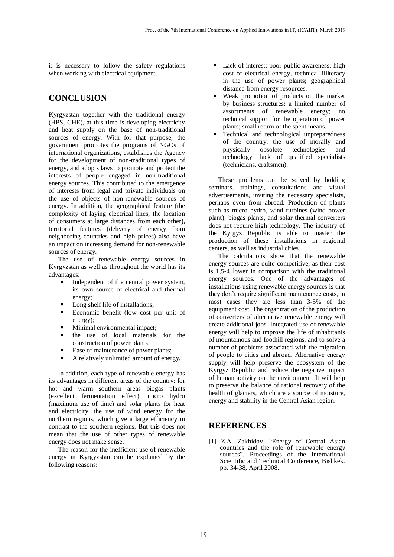it is necessary to follow the safety regulations when working with electrical equipment.

# **CONCLUSION**

Kyrgyzstan together with the traditional energy (HPS, CHE), at this time is developing electricity and heat supply on the base of non-traditional sources of energy. With for that purpose, the government promotes the programs of NGOs of international organizations, establishes the Agency for the development of non-traditional types of energy, and adopts laws to promote and protect the interests of people engaged in non-traditional energy sources. This contributed to the emergence of interests from legal and private individuals on the use of objects of non-renewable sources of energy. In addition, the geographical feature (the complexity of laying electrical lines, the location of consumers at large distances from each other), territorial features (delivery of energy from neighboring countries and high prices) also have an impact on increasing demand for non-renewable sources of energy.

The use of renewable energy sources in Kyrgyzstan as well as throughout the world has its advantages:

- Independent of the central power system, its own source of electrical and thermal energy;
- Long shelf life of installations;
- Economic benefit (low cost per unit of energy);
- Minimal environmental impact;
- the use of local materials for the construction of power plants;
- Ease of maintenance of power plants;
- A relatively unlimited amount of energy.

In addition, each type of renewable energy has its advantages in different areas of the country: for hot and warm southern areas biogas plants (excellent fermentation effect), micro hydro (maximum use of time) and solar plants for heat and electricity; the use of wind energy for the northern regions, which give a large efficiency in contrast to the southern regions. But this does not mean that the use of other types of renewable energy does not make sense.

The reason for the inefficient use of renewable energy in Kyrgyzstan can be explained by the following reasons:

- Lack of interest: poor public awareness; high cost of electrical energy, technical illiteracy in the use of power plants; geographical distance from energy resources.
- Weak promotion of products on the market by business structures: a limited number of assortments of renewable energy; no technical support for the operation of power plants; small return of the spent means.
- Technical and technological unpreparedness of the country: the use of morally and physically obsolete technologies and technology, lack of qualified specialists (technicians, craftsmen).

These problems can be solved by holding seminars, trainings, consultations and visual advertisements, inviting the necessary specialists, perhaps even from abroad. Production of plants such as micro hydro, wind turbines (wind power plant), biogas plants, and solar thermal converters does not require high technology. The industry of the Kyrgyz Republic is able to master the production of these installations in regional centers, as well as industrial cities.

The calculations show that the renewable energy sources are quite competitive, as their cost is 1,5-4 lower in comparison with the traditional energy sources. One of the advantages of installations using renewable energy sources is that they don't require significant maintenance costs, in most cases they are less than 3-5% of the equipment cost. The organization of the production of converters of alternative renewable energy will create additional jobs. Integrated use of renewable energy will help to improve the life of inhabitants of mountainous and foothill regions, and to solve a number of problems associated with the migration of people to cities and abroad. Alternative energy supply will help preserve the ecosystem of the Kyrgyz Republic and reduce the negative impact of human activity on the environment. It will help to preserve the balance of rational recovery of the health of glaciers, which are a source of moisture, energy and stability in the Central Asian region.

## **REFERENCES**

[1] Z.A. Zakhidov, "Energy of Central Asian countries and the role of renewable energy sources", Proceedings of the International Scientific and Technical Conference, Bishkek. pp. 34-38, April 2008.